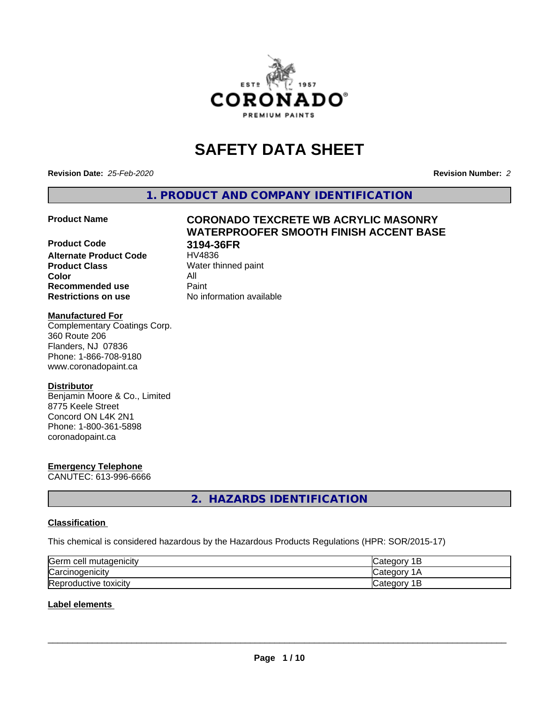

# **SAFETY DATA SHEET**

**Revision Date:** *25-Feb-2020* **Revision Number:** *2*

**1. PRODUCT AND COMPANY IDENTIFICATION**

**Product Code 3194-36FR Alternate Product Code**<br>Product Class **Color** All **Recommended use Caint Restrictions on use** No information available

# **Product Name CORONADO TEXCRETE WB ACRYLIC MASONRY WATERPROOFER SMOOTH FINISH ACCENT BASE**

**Water thinned paint** 

## **Manufactured For**

Complementary Coatings Corp. 360 Route 206 Flanders, NJ 07836 Phone: 1-866-708-9180 www.coronadopaint.ca

# **Distributor**

Benjamin Moore & Co., Limited 8775 Keele Street Concord ON L4K 2N1 Phone: 1-800-361-5898 coronadopaint.ca

# **Emergency Telephone**

CANUTEC: 613-996-6666

# **2. HAZARDS IDENTIFICATION**

# **Classification**

This chemical is considered hazardous by the Hazardous Products Regulations (HPR: SOR/2015-17)

| Germ cell mutagenicity        | 10<br>ــ   |
|-------------------------------|------------|
| Carcinogenicity               | и          |
| Repr<br>toxicity<br>roductive | valtu<br>- |

# **Label elements**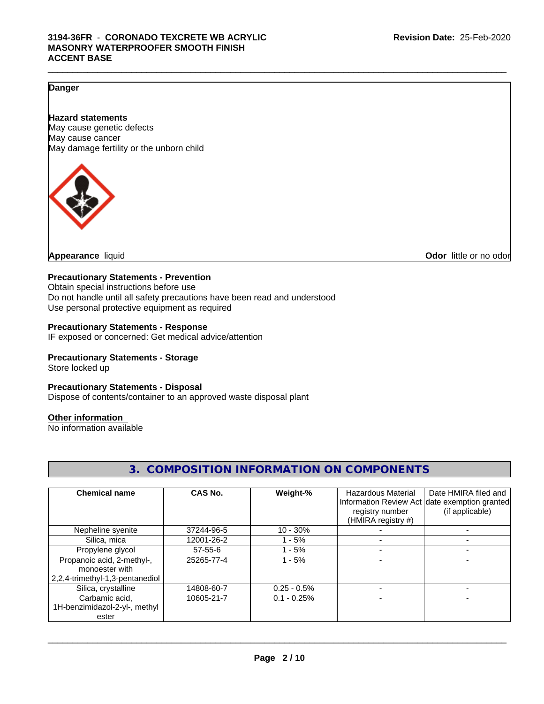# **Danger**

# **Hazard statements**

May cause genetic defects May cause cancer May damage fertility or the unborn child



**Appearance** liquid

**Odor** little or no odor

# **Precautionary Statements - Prevention**

Obtain special instructions before use Do not handle until all safety precautions have been read and understood Use personal protective equipment as required

#### **Precautionary Statements - Response**

IF exposed or concerned: Get medical advice/attention

# **Precautionary Statements - Storage**

Store locked up

# **Precautionary Statements - Disposal**

Dispose of contents/container to an approved waste disposal plant

#### **Other information**

No information available

| U.  UUIVII UUI ITUIVII IIVI UTIVII ITUIV UIVUU UUVEIVTU                         |                |                |                                                             |                                                                                          |
|---------------------------------------------------------------------------------|----------------|----------------|-------------------------------------------------------------|------------------------------------------------------------------------------------------|
| <b>Chemical name</b>                                                            | <b>CAS No.</b> | Weight-%       | Hazardous Material<br>registry number<br>(HMIRA registry #) | Date HMIRA filed and<br>Information Review Act date exemption granted<br>(if applicable) |
| Nepheline syenite                                                               | 37244-96-5     | $10 - 30%$     |                                                             |                                                                                          |
| Silica, mica                                                                    | 12001-26-2     | $1 - 5%$       |                                                             |                                                                                          |
| Propylene glycol                                                                | $57 - 55 - 6$  | $1 - 5%$       |                                                             |                                                                                          |
| Propanoic acid, 2-methyl-,<br>monoester with<br>2,2,4-trimethyl-1,3-pentanediol | 25265-77-4     | $1 - 5%$       |                                                             |                                                                                          |
| Silica, crystalline                                                             | 14808-60-7     | $0.25 - 0.5\%$ |                                                             |                                                                                          |
| Carbamic acid,<br>1H-benzimidazol-2-yl-, methyl<br>ester                        | 10605-21-7     | $0.1 - 0.25%$  |                                                             |                                                                                          |

# **3. COMPOSITION INFORMATION ON COMPONENTS**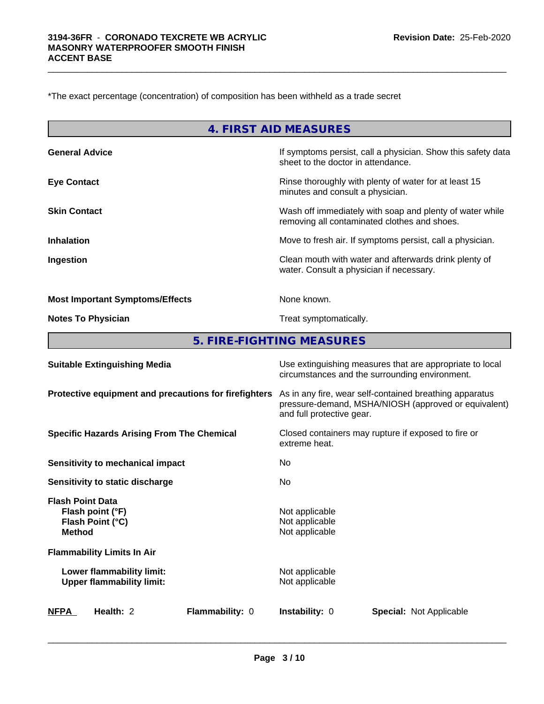\*The exact percentage (concentration) of composition has been withheld as a trade secret

|                                                                                  | <b>4. FIRST AID MEASURES</b>                       |                                                                                                                 |
|----------------------------------------------------------------------------------|----------------------------------------------------|-----------------------------------------------------------------------------------------------------------------|
| <b>General Advice</b>                                                            | sheet to the doctor in attendance.                 | If symptoms persist, call a physician. Show this safety data                                                    |
| <b>Eye Contact</b>                                                               | minutes and consult a physician.                   | Rinse thoroughly with plenty of water for at least 15                                                           |
| <b>Skin Contact</b>                                                              |                                                    | Wash off immediately with soap and plenty of water while<br>removing all contaminated clothes and shoes.        |
| <b>Inhalation</b>                                                                |                                                    | Move to fresh air. If symptoms persist, call a physician.                                                       |
| Ingestion                                                                        | water. Consult a physician if necessary.           | Clean mouth with water and afterwards drink plenty of                                                           |
| <b>Most Important Symptoms/Effects</b>                                           | None known.                                        |                                                                                                                 |
| <b>Notes To Physician</b>                                                        | Treat symptomatically.                             |                                                                                                                 |
| 5. FIRE-FIGHTING MEASURES                                                        |                                                    |                                                                                                                 |
| <b>Suitable Extinguishing Media</b>                                              |                                                    | Use extinguishing measures that are appropriate to local<br>circumstances and the surrounding environment.      |
| Protective equipment and precautions for firefighters                            | and full protective gear.                          | As in any fire, wear self-contained breathing apparatus<br>pressure-demand, MSHA/NIOSH (approved or equivalent) |
| <b>Specific Hazards Arising From The Chemical</b>                                | extreme heat.                                      | Closed containers may rupture if exposed to fire or                                                             |
| <b>Sensitivity to mechanical impact</b>                                          | No                                                 |                                                                                                                 |
| <b>Sensitivity to static discharge</b>                                           | No                                                 |                                                                                                                 |
| <b>Flash Point Data</b><br>Flash point (°F)<br>Flash Point (°C)<br><b>Method</b> | Not applicable<br>Not applicable<br>Not applicable |                                                                                                                 |
| <b>Flammability Limits In Air</b>                                                |                                                    |                                                                                                                 |
| Lower flammability limit:<br><b>Upper flammability limit:</b>                    | Not applicable<br>Not applicable                   |                                                                                                                 |
| Health: 2<br>Flammability: 0<br>NFPA                                             | Instability: 0                                     | <b>Special: Not Applicable</b>                                                                                  |

 $\_$  ,  $\_$  ,  $\_$  ,  $\_$  ,  $\_$  ,  $\_$  ,  $\_$  ,  $\_$  ,  $\_$  ,  $\_$  ,  $\_$  ,  $\_$  ,  $\_$  ,  $\_$  ,  $\_$  ,  $\_$  ,  $\_$  ,  $\_$  ,  $\_$  ,  $\_$  ,  $\_$  ,  $\_$  ,  $\_$  ,  $\_$  ,  $\_$  ,  $\_$  ,  $\_$  ,  $\_$  ,  $\_$  ,  $\_$  ,  $\_$  ,  $\_$  ,  $\_$  ,  $\_$  ,  $\_$  ,  $\_$  ,  $\_$  ,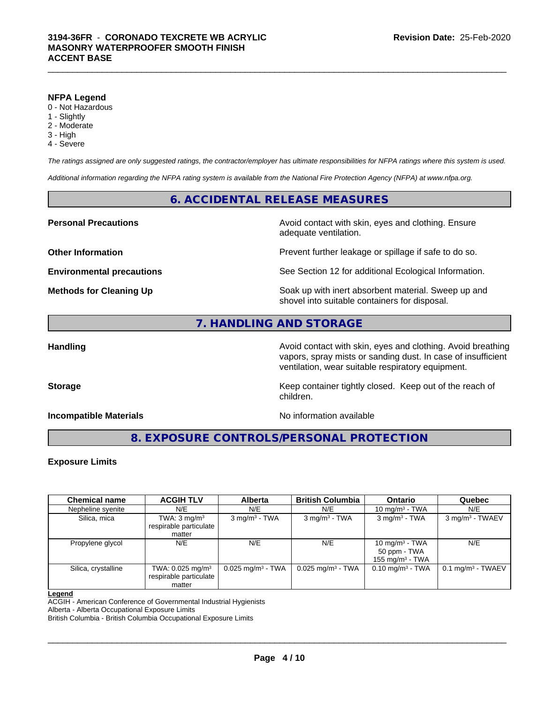#### **NFPA Legend**

- 0 Not Hazardous
- 1 Slightly
- 2 Moderate
- 3 High
- 4 Severe

*The ratings assigned are only suggested ratings, the contractor/employer has ultimate responsibilities for NFPA ratings where this system is used.*

*Additional information regarding the NFPA rating system is available from the National Fire Protection Agency (NFPA) at www.nfpa.org.*

# **6. ACCIDENTAL RELEASE MEASURES**

**Personal Precautions Avoid contact with skin, eyes and clothing. Ensure Personal Precautions** adequate ventilation.

**Other Information Discription Prevent further leakage or spillage if safe to do so.** 

**Environmental precautions** See Section 12 for additional Ecological Information.

**Methods for Cleaning Up Example 20 Soak** up with inert absorbent material. Sweep up and shovel into suitable containers for disposal.

# **7. HANDLING AND STORAGE**

**Handling Handling Avoid contact with skin, eyes and clothing. Avoid breathing** vapors, spray mists or sanding dust. In case of insufficient ventilation, wear suitable respiratory equipment.

**Storage Keep container tightly closed. Keep out of the reach of Keep** container tightly closed. Keep out of the reach of children.

**Incompatible Materials Incompatible Materials No information available** 

**8. EXPOSURE CONTROLS/PERSONAL PROTECTION**

# **Exposure Limits**

| <b>Chemical name</b> | <b>ACGIH TLV</b>                                                   | <b>Alberta</b>                  | <b>British Columbia</b>         | <b>Ontario</b>                                          | Quebec                       |
|----------------------|--------------------------------------------------------------------|---------------------------------|---------------------------------|---------------------------------------------------------|------------------------------|
| Nepheline syenite    | N/E                                                                | N/E                             | N/E                             | 10 mg/m $3$ - TWA                                       | N/E                          |
| Silica, mica         | TWA: $3 \text{ mg/m}^3$<br>respirable particulate<br>matter        | $3 \text{ mg/m}^3$ - TWA        | $3$ mg/m <sup>3</sup> - TWA     | $3 \text{ mg/m}^3$ - TWA                                | 3 mg/m <sup>3</sup> - TWAEV  |
| Propylene glycol     | N/E                                                                | N/E                             | N/E                             | 10 mg/m $3$ - TWA<br>50 ppm - TWA<br>155 mg/m $3$ - TWA | N/E                          |
| Silica, crystalline  | TWA: $0.025$ mg/m <sup>3</sup><br>respirable particulate<br>matter | $0.025$ mg/m <sup>3</sup> - TWA | $0.025$ mg/m <sup>3</sup> - TWA | $0.10$ mg/m <sup>3</sup> - TWA                          | $0.1 \text{ mg/m}^3$ - TWAEV |

#### **Legend**

ACGIH - American Conference of Governmental Industrial Hygienists

Alberta - Alberta Occupational Exposure Limits

British Columbia - British Columbia Occupational Exposure Limits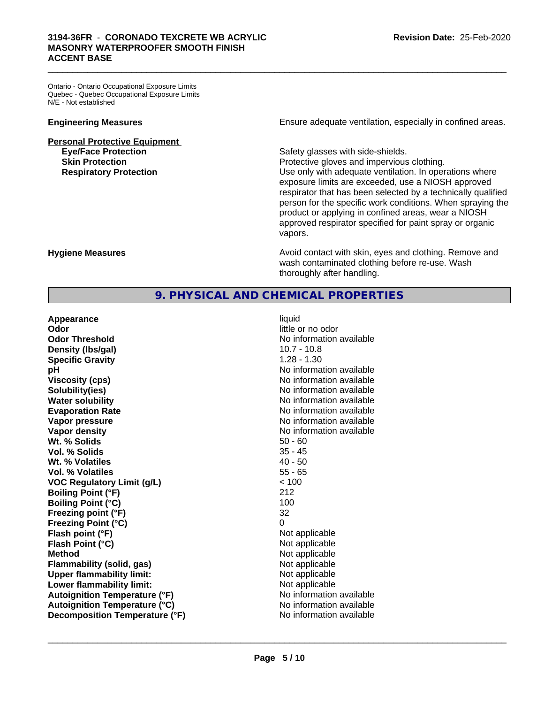# **3194-36FR** - **CORONADO TEXCRETE WB ACRYLIC MASONRY WATERPROOFER SMOOTH FINISH ACCENT BASE**

Ontario - Ontario Occupational Exposure Limits Quebec - Quebec Occupational Exposure Limits N/E - Not established

**Personal Protective Equipment**<br> **Eye/Face Protection Skin Protection Protection Protective gloves and impervious clothing.** 

**Engineering Measures Ensure adequate ventilation, especially in confined areas.** 

Safety glasses with side-shields.

 $\_$  ,  $\_$  ,  $\_$  ,  $\_$  ,  $\_$  ,  $\_$  ,  $\_$  ,  $\_$  ,  $\_$  ,  $\_$  ,  $\_$  ,  $\_$  ,  $\_$  ,  $\_$  ,  $\_$  ,  $\_$  ,  $\_$  ,  $\_$  ,  $\_$  ,  $\_$  ,  $\_$  ,  $\_$  ,  $\_$  ,  $\_$  ,  $\_$  ,  $\_$  ,  $\_$  ,  $\_$  ,  $\_$  ,  $\_$  ,  $\_$  ,  $\_$  ,  $\_$  ,  $\_$  ,  $\_$  ,  $\_$  ,  $\_$  ,

**Respiratory Protection Number 1** (Use only with adequate ventilation. In operations where exposure limits are exceeded, use a NIOSH approved respirator that has been selected by a technically qualified person for the specific work conditions. When spraying the product or applying in confined areas, wear a NIOSH approved respirator specified for paint spray or organic vapors.

**Hygiene Measures Avoid contact with skin, eyes and clothing. Remove and Avoid contact with skin, eyes and clothing. Remove and Avoid contact with skin, eyes and clothing. Remove and** wash contaminated clothing before re-use. Wash thoroughly after handling.

# **9. PHYSICAL AND CHEMICAL PROPERTIES**

**Appearance** liquid **Odor** little or no odor **Odor Threshold** No information available **Density (Ibs/gal)** 20.7 - 10.8 **Specific Gravity** 1.28 - 1.30 **pH pH**  $\blacksquare$ **Viscosity (cps)** No information available in the Viscosity (cps) **Solubility(ies)** No information available **Water solubility Water solubility Water solubility Water solubility Water solubility Water solution Evaporation Rate No information available No information available Vapor pressure** No information available in the North American Monte available in the North American available **Vapor density No information available No information available Wt. % Solids** 50 - 60 **Vol. % Solids** 35 - 45 **Wt. % Volatiles** 40 - 50 **Vol. % Volatiles** 55 - 65 **VOC Regulatory Limit (g/L)** < 100 **Boiling Point (°F) Boiling Point (°C)** 100 **Freezing point (°F)** 32 **Freezing Point (°C)** 0 **Flash point (°F)**<br> **Flash Point (°C)**<br> **Flash Point (°C)**<br> **C Flash Point (°C) Method** Not applicable **Flammability (solid, gas)** Not applicable **Upper flammability limit:** Not applicable **Lower flammability limit:**<br> **Autoignition Temperature (°F)** Not applicable Not applicable Not available **Autoignition Temperature (°F) Autoignition Temperature (°C)** No information available **Decomposition Temperature (°F)** No information available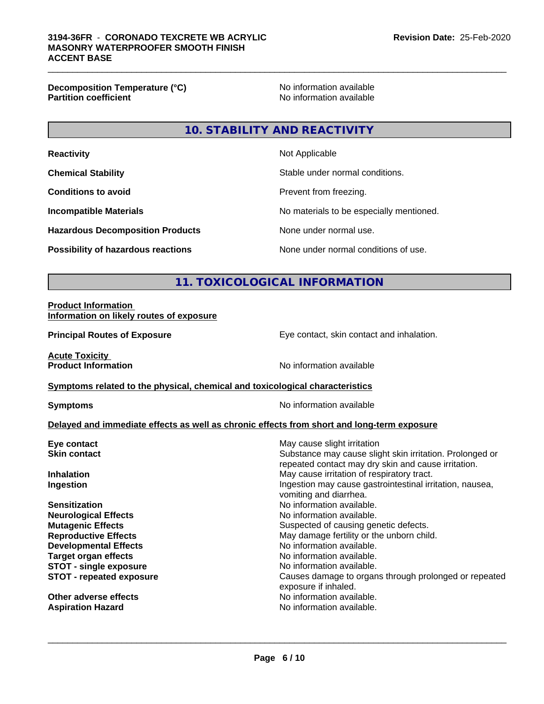**Decomposition Temperature (°C)**<br> **Partition coefficient Partition coefficient Partition coefficient Partition coefficient Partition coefficient Partition coefficient Partition coefficient Partition coef** 

**No information available** 

# **10. STABILITY AND REACTIVITY**

| <b>Reactivity</b>                         | Not Applicable                           |
|-------------------------------------------|------------------------------------------|
| <b>Chemical Stability</b>                 | Stable under normal conditions.          |
| <b>Conditions to avoid</b>                | Prevent from freezing.                   |
| <b>Incompatible Materials</b>             | No materials to be especially mentioned. |
| <b>Hazardous Decomposition Products</b>   | None under normal use.                   |
| <b>Possibility of hazardous reactions</b> | None under normal conditions of use.     |

# **11. TOXICOLOGICAL INFORMATION**

#### **Product Information Information on likely routes of exposure**

**Principal Routes of Exposure** Eye contact, skin contact and inhalation.

**Acute Toxicity<br>Product Information** 

**No information available** 

## **Symptoms related to the physical, chemical and toxicological characteristics**

**Symptoms** No information available

# **Delayed and immediate effects as well as chronic effects from short and long-term exposure**

| May cause irritation of respiratory tract.<br>Ingestion may cause gastrointestinal irritation, nausea,<br>vomiting and diarrhea.<br>No information available.<br>No information available.<br>Suspected of causing genetic defects.<br>May damage fertility or the unborn child.<br>No information available.<br>No information available.<br>No information available.<br>Causes damage to organs through prolonged or repeated<br>exposure if inhaled.<br>No information available.<br>No information available. | Eye contact<br><b>Skin contact</b> | May cause slight irritation<br>Substance may cause slight skin irritation. Prolonged or<br>repeated contact may dry skin and cause irritation. |
|--------------------------------------------------------------------------------------------------------------------------------------------------------------------------------------------------------------------------------------------------------------------------------------------------------------------------------------------------------------------------------------------------------------------------------------------------------------------------------------------------------------------|------------------------------------|------------------------------------------------------------------------------------------------------------------------------------------------|
|                                                                                                                                                                                                                                                                                                                                                                                                                                                                                                                    | <b>Inhalation</b>                  |                                                                                                                                                |
|                                                                                                                                                                                                                                                                                                                                                                                                                                                                                                                    | Ingestion                          |                                                                                                                                                |
|                                                                                                                                                                                                                                                                                                                                                                                                                                                                                                                    | <b>Sensitization</b>               |                                                                                                                                                |
|                                                                                                                                                                                                                                                                                                                                                                                                                                                                                                                    | <b>Neurological Effects</b>        |                                                                                                                                                |
|                                                                                                                                                                                                                                                                                                                                                                                                                                                                                                                    | <b>Mutagenic Effects</b>           |                                                                                                                                                |
|                                                                                                                                                                                                                                                                                                                                                                                                                                                                                                                    | <b>Reproductive Effects</b>        |                                                                                                                                                |
|                                                                                                                                                                                                                                                                                                                                                                                                                                                                                                                    | <b>Developmental Effects</b>       |                                                                                                                                                |
|                                                                                                                                                                                                                                                                                                                                                                                                                                                                                                                    | <b>Target organ effects</b>        |                                                                                                                                                |
|                                                                                                                                                                                                                                                                                                                                                                                                                                                                                                                    | <b>STOT - single exposure</b>      |                                                                                                                                                |
|                                                                                                                                                                                                                                                                                                                                                                                                                                                                                                                    | <b>STOT - repeated exposure</b>    |                                                                                                                                                |
|                                                                                                                                                                                                                                                                                                                                                                                                                                                                                                                    | Other adverse effects              |                                                                                                                                                |
|                                                                                                                                                                                                                                                                                                                                                                                                                                                                                                                    | <b>Aspiration Hazard</b>           |                                                                                                                                                |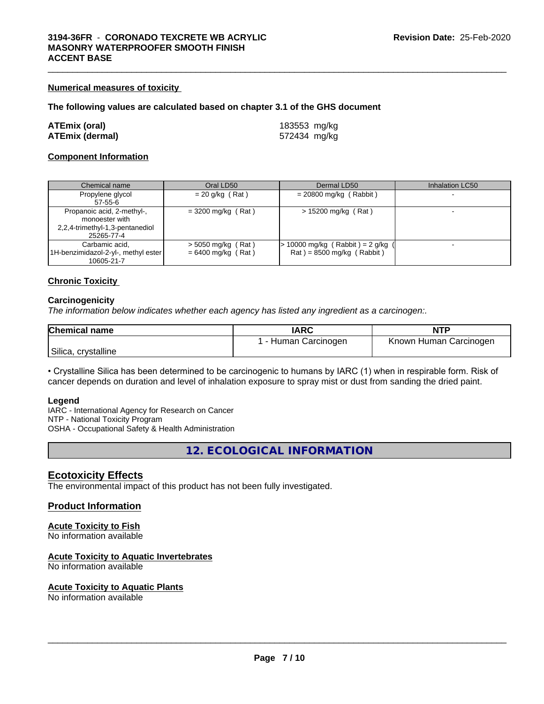# **Numerical measures of toxicity**

#### **The following values are calculated based on chapter 3.1 of the GHS document**

| <b>ATEmix (oral)</b>   |  |
|------------------------|--|
| <b>ATEmix (dermal)</b> |  |

**ATEmix (oral)** 183553 mg/kg **ATEmix (dermal)** 572434 mg/kg

# **Component Information**

| Chemical name                       | Oral LD50            | Dermal LD50                         | Inhalation LC50 |
|-------------------------------------|----------------------|-------------------------------------|-----------------|
| Propylene glycol                    | $= 20$ g/kg (Rat)    | $= 20800$ mg/kg (Rabbit)            |                 |
| 57-55-6                             |                      |                                     |                 |
| Propanoic acid, 2-methyl-,          | $= 3200$ mg/kg (Rat) | > 15200 mg/kg (Rat)                 |                 |
| monoester with                      |                      |                                     |                 |
| 2,2,4-trimethyl-1,3-pentanediol     |                      |                                     |                 |
| 25265-77-4                          |                      |                                     |                 |
| Carbamic acid.                      | $>$ 5050 mg/kg (Rat) | $> 10000$ mg/kg (Rabbit) = 2 g/kg ( |                 |
| 1H-benzimidazol-2-yl-, methyl ester | $= 6400$ mg/kg (Rat) | $Rat$ = 8500 mg/kg (Rabbit)         |                 |
| 10605-21-7                          |                      |                                     |                 |

#### **Chronic Toxicity**

#### **Carcinogenicity**

*The information below indicateswhether each agency has listed any ingredient as a carcinogen:.*

| <b>Chemical name</b> | <b>IARC</b>        | <b>NTP</b>             |
|----------------------|--------------------|------------------------|
|                      | - Human Carcinogen | Known Human Carcinogen |
| Silica, crystalline  |                    |                        |

• Crystalline Silica has been determined to be carcinogenic to humans by IARC (1) when in respirable form. Risk of cancer depends on duration and level of inhalation exposure to spray mist or dust from sanding the dried paint.

#### **Legend**

IARC - International Agency for Research on Cancer NTP - National Toxicity Program OSHA - Occupational Safety & Health Administration

**12. ECOLOGICAL INFORMATION**

## **Ecotoxicity Effects**

The environmental impact of this product has not been fully investigated.

#### **Product Information**

# **Acute Toxicity to Fish**

No information available

# **Acute Toxicity to Aquatic Invertebrates**

No information available

#### **Acute Toxicity to Aquatic Plants**

No information available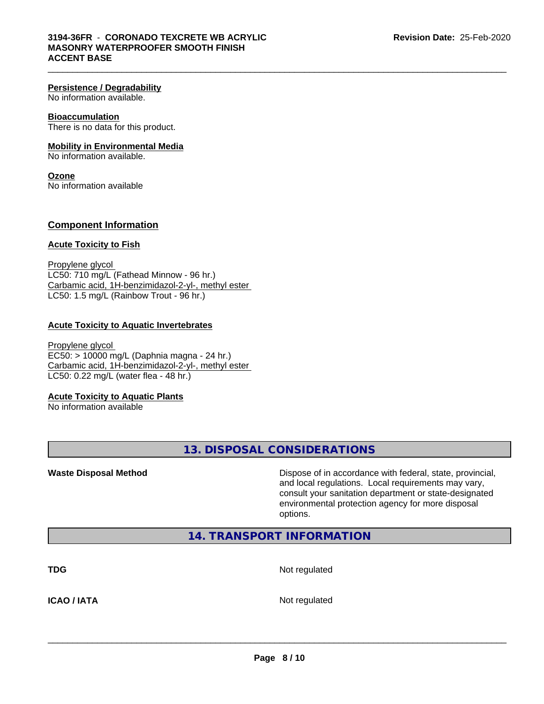#### **Persistence / Degradability**

No information available.

## **Bioaccumulation**

There is no data for this product.

# **Mobility in Environmental Media**

No information available.

#### **Ozone** No information available

# **Component Information**

#### **Acute Toxicity to Fish**

Propylene glycol LC50: 710 mg/L (Fathead Minnow - 96 hr.) Carbamic acid, 1H-benzimidazol-2-yl-, methyl ester LC50: 1.5 mg/L (Rainbow Trout - 96 hr.)

## **Acute Toxicity to Aquatic Invertebrates**

Propylene glycol EC50: > 10000 mg/L (Daphnia magna - 24 hr.) Carbamic acid, 1H-benzimidazol-2-yl-, methyl ester LC50: 0.22 mg/L (water flea - 48 hr.)

#### **Acute Toxicity to Aquatic Plants**

No information available

**13. DISPOSAL CONSIDERATIONS**

**Waste Disposal Method Dispose of in accordance with federal, state, provincial,** and local regulations. Local requirements may vary, consult your sanitation department or state-designated environmental protection agency for more disposal options.

# **14. TRANSPORT INFORMATION**

**TDG** Not regulated

**ICAO / IATA** Not regulated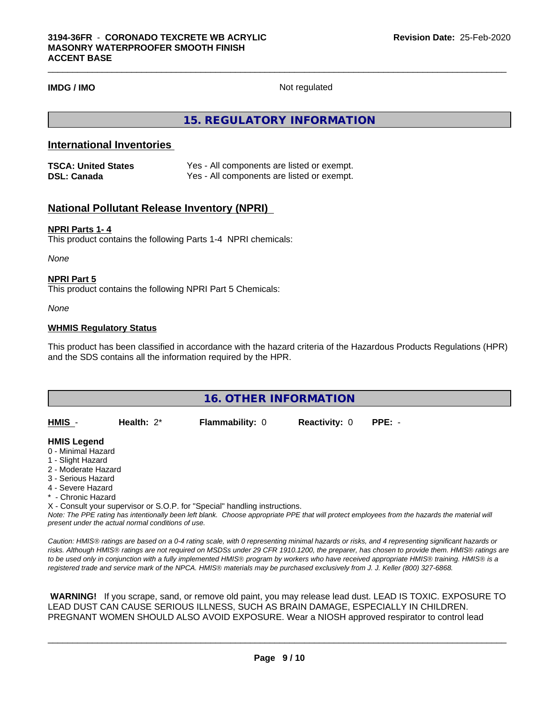# **IMDG / IMO** Not regulated

 $\_$  ,  $\_$  ,  $\_$  ,  $\_$  ,  $\_$  ,  $\_$  ,  $\_$  ,  $\_$  ,  $\_$  ,  $\_$  ,  $\_$  ,  $\_$  ,  $\_$  ,  $\_$  ,  $\_$  ,  $\_$  ,  $\_$  ,  $\_$  ,  $\_$  ,  $\_$  ,  $\_$  ,  $\_$  ,  $\_$  ,  $\_$  ,  $\_$  ,  $\_$  ,  $\_$  ,  $\_$  ,  $\_$  ,  $\_$  ,  $\_$  ,  $\_$  ,  $\_$  ,  $\_$  ,  $\_$  ,  $\_$  ,  $\_$  ,

**15. REGULATORY INFORMATION**

# **International Inventories**

| <b>TSCA: United States</b> | Yes - All components are listed or exempt. |
|----------------------------|--------------------------------------------|
| <b>DSL: Canada</b>         | Yes - All components are listed or exempt. |

# **National Pollutant Release Inventory (NPRI)**

#### **NPRI Parts 1- 4**

This product contains the following Parts 1-4 NPRI chemicals:

*None*

## **NPRI Part 5**

This product contains the following NPRI Part 5 Chemicals:

*None*

#### **WHMIS Regulatory Status**

This product has been classified in accordance with the hazard criteria of the Hazardous Products Regulations (HPR) and the SDS contains all the information required by the HPR.

| <b>16. OTHER INFORMATION</b>            |               |                        |                      |          |  |  |
|-----------------------------------------|---------------|------------------------|----------------------|----------|--|--|
| HMIS -                                  | Health: $2^*$ | <b>Flammability: 0</b> | <b>Reactivity: 0</b> | $PPE: -$ |  |  |
| <b>HMIS Legend</b>                      |               |                        |                      |          |  |  |
| 0 - Minimal Hazard<br>1 - Slight Hazard |               |                        |                      |          |  |  |

- 2 Moderate Hazard
- 3 Serious Hazard
- 4 Severe Hazard
- \* Chronic Hazard

X - Consult your supervisor or S.O.P. for "Special" handling instructions.

*Note: The PPE rating has intentionally been left blank. Choose appropriate PPE that will protect employees from the hazards the material will present under the actual normal conditions of use.*

*Caution: HMISÒ ratings are based on a 0-4 rating scale, with 0 representing minimal hazards or risks, and 4 representing significant hazards or risks. Although HMISÒ ratings are not required on MSDSs under 29 CFR 1910.1200, the preparer, has chosen to provide them. HMISÒ ratings are to be used only in conjunction with a fully implemented HMISÒ program by workers who have received appropriate HMISÒ training. HMISÒ is a registered trade and service mark of the NPCA. HMISÒ materials may be purchased exclusively from J. J. Keller (800) 327-6868.*

 **WARNING!** If you scrape, sand, or remove old paint, you may release lead dust. LEAD IS TOXIC. EXPOSURE TO LEAD DUST CAN CAUSE SERIOUS ILLNESS, SUCH AS BRAIN DAMAGE, ESPECIALLY IN CHILDREN. PREGNANT WOMEN SHOULD ALSO AVOID EXPOSURE.Wear a NIOSH approved respirator to control lead